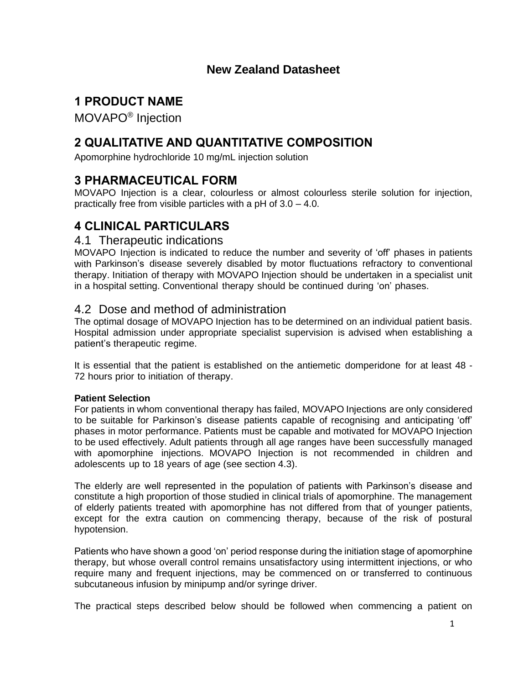# **New Zealand Datasheet**

# **1 PRODUCT NAME**

MOVAPO® Injection

# **2 QUALITATIVE AND QUANTITATIVE COMPOSITION**

Apomorphine hydrochloride 10 mg/mL injection solution

# **3 PHARMACEUTICAL FORM**

MOVAPO Injection is a clear, colourless or almost colourless sterile solution for injection, practically free from visible particles with a pH of 3.0 – 4.0.

# **4 CLINICAL PARTICULARS**

### 4.1 Therapeutic indications

MOVAPO Injection is indicated to reduce the number and severity of 'off' phases in patients with Parkinson's disease severely disabled by motor fluctuations refractory to conventional therapy. Initiation of therapy with MOVAPO Injection should be undertaken in a specialist unit in a hospital setting. Conventional therapy should be continued during 'on' phases.

# 4.2 Dose and method of administration

The optimal dosage of MOVAPO Injection has to be determined on an individual patient basis. Hospital admission under appropriate specialist supervision is advised when establishing a patient's therapeutic regime.

It is essential that the patient is established on the antiemetic domperidone for at least 48 - 72 hours prior to initiation of therapy.

### **Patient Selection**

For patients in whom conventional therapy has failed, MOVAPO Injections are only considered to be suitable for Parkinson's disease patients capable of recognising and anticipating 'off' phases in motor performance. Patients must be capable and motivated for MOVAPO Injection to be used effectively. Adult patients through all age ranges have been successfully managed with apomorphine injections. MOVAPO Injection is not recommended in children and adolescents up to 18 years of age (see section 4.3).

The elderly are well represented in the population of patients with Parkinson's disease and constitute a high proportion of those studied in clinical trials of apomorphine. The management of elderly patients treated with apomorphine has not differed from that of younger patients, except for the extra caution on commencing therapy, because of the risk of postural hypotension.

Patients who have shown a good 'on' period response during the initiation stage of apomorphine therapy, but whose overall control remains unsatisfactory using intermittent injections, or who require many and frequent injections, may be commenced on or transferred to continuous subcutaneous infusion by minipump and/or syringe driver.

The practical steps described below should be followed when commencing a patient on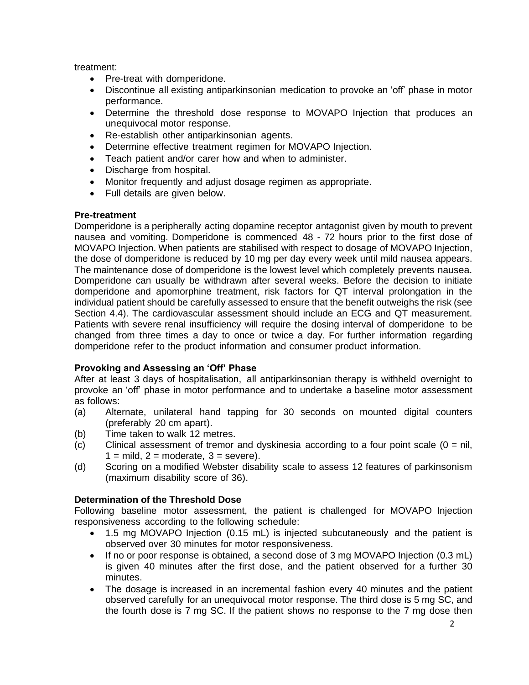treatment:

- Pre-treat with domperidone.
- Discontinue all existing antiparkinsonian medication to provoke an 'off' phase in motor performance.
- Determine the threshold dose response to MOVAPO Injection that produces an unequivocal motor response.
- Re-establish other antiparkinsonian agents.
- Determine effective treatment regimen for MOVAPO Injection.
- Teach patient and/or carer how and when to administer.
- Discharge from hospital.
- Monitor frequently and adjust dosage regimen as appropriate.
- Full details are given below.

#### **Pre-treatment**

Domperidone is a peripherally acting dopamine receptor antagonist given by mouth to prevent nausea and vomiting. Domperidone is commenced 48 - 72 hours prior to the first dose of MOVAPO Injection. When patients are stabilised with respect to dosage of MOVAPO Injection, the dose of domperidone is reduced by 10 mg per day every week until mild nausea appears. The maintenance dose of domperidone is the lowest level which completely prevents nausea. Domperidone can usually be withdrawn after several weeks. Before the decision to initiate domperidone and apomorphine treatment, risk factors for QT interval prolongation in the individual patient should be carefully assessed to ensure that the benefit outweighs the risk (see Section 4.4). The cardiovascular assessment should include an ECG and QT measurement. Patients with severe renal insufficiency will require the dosing interval of domperidone to be changed from three times a day to once or twice a day. For further information regarding domperidone refer to the product information and consumer product information.

### **Provoking and Assessing an 'Off' Phase**

After at least 3 days of hospitalisation, all antiparkinsonian therapy is withheld overnight to provoke an 'off' phase in motor performance and to undertake a baseline motor assessment as follows:

- (a) Alternate, unilateral hand tapping for 30 seconds on mounted digital counters (preferably 20 cm apart).
- (b) Time taken to walk 12 metres.
- $(c)$  Clinical assessment of tremor and dyskinesia according to a four point scale  $(0 = \text{nil})$  $1 =$  mild,  $2 =$  moderate,  $3 =$  severe).
- (d) Scoring on a modified Webster disability scale to assess 12 features of parkinsonism (maximum disability score of 36).

### **Determination of the Threshold Dose**

Following baseline motor assessment, the patient is challenged for MOVAPO Injection responsiveness according to the following schedule:

- 1.5 mg MOVAPO Injection (0.15 mL) is injected subcutaneously and the patient is observed over 30 minutes for motor responsiveness.
- If no or poor response is obtained, a second dose of 3 mg MOVAPO Injection (0.3 mL) is given 40 minutes after the first dose, and the patient observed for a further 30 minutes.
- The dosage is increased in an incremental fashion every 40 minutes and the patient observed carefully for an unequivocal motor response. The third dose is 5 mg SC, and the fourth dose is 7 mg SC. If the patient shows no response to the 7 mg dose then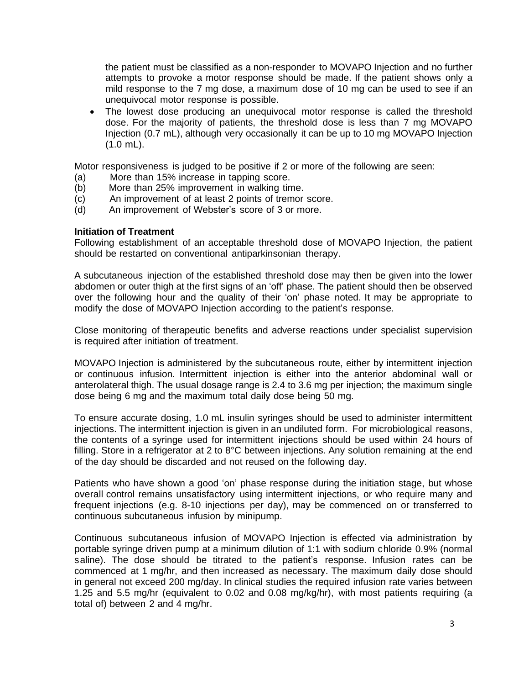the patient must be classified as a non-responder to MOVAPO Injection and no further attempts to provoke a motor response should be made. If the patient shows only a mild response to the 7 mg dose, a maximum dose of 10 mg can be used to see if an unequivocal motor response is possible.

The lowest dose producing an unequivocal motor response is called the threshold dose. For the majority of patients, the threshold dose is less than 7 mg MOVAPO Injection (0.7 mL), although very occasionally it can be up to 10 mg MOVAPO Injection (1.0 mL).

Motor responsiveness is judged to be positive if 2 or more of the following are seen:

- (a) More than 15% increase in tapping score.
- (b) More than 25% improvement in walking time.
- (c) An improvement of at least 2 points of tremor score.
- (d) An improvement of Webster's score of 3 or more.

#### **Initiation of Treatment**

Following establishment of an acceptable threshold dose of MOVAPO Injection, the patient should be restarted on conventional antiparkinsonian therapy.

A subcutaneous injection of the established threshold dose may then be given into the lower abdomen or outer thigh at the first signs of an 'off' phase. The patient should then be observed over the following hour and the quality of their 'on' phase noted. It may be appropriate to modify the dose of MOVAPO Injection according to the patient's response.

Close monitoring of therapeutic benefits and adverse reactions under specialist supervision is required after initiation of treatment.

MOVAPO Injection is administered by the subcutaneous route, either by intermittent injection or continuous infusion. Intermittent injection is either into the anterior abdominal wall or anterolateral thigh. The usual dosage range is 2.4 to 3.6 mg per injection; the maximum single dose being 6 mg and the maximum total daily dose being 50 mg.

To ensure accurate dosing, 1.0 mL insulin syringes should be used to administer intermittent injections. The intermittent injection is given in an undiluted form. For microbiological reasons, the contents of a syringe used for intermittent injections should be used within 24 hours of filling. Store in a refrigerator at 2 to 8°C between injections. Any solution remaining at the end of the day should be discarded and not reused on the following day.

Patients who have shown a good 'on' phase response during the initiation stage, but whose overall control remains unsatisfactory using intermittent injections, or who require many and frequent injections (e.g. 8-10 injections per day), may be commenced on or transferred to continuous subcutaneous infusion by minipump.

Continuous subcutaneous infusion of MOVAPO Injection is effected via administration by portable syringe driven pump at a minimum dilution of 1:1 with sodium chloride 0.9% (normal saline). The dose should be titrated to the patient's response. Infusion rates can be commenced at 1 mg/hr, and then increased as necessary. The maximum daily dose should in general not exceed 200 mg/day. In clinical studies the required infusion rate varies between 1.25 and 5.5 mg/hr (equivalent to 0.02 and 0.08 mg/kg/hr), with most patients requiring (a total of) between 2 and 4 mg/hr.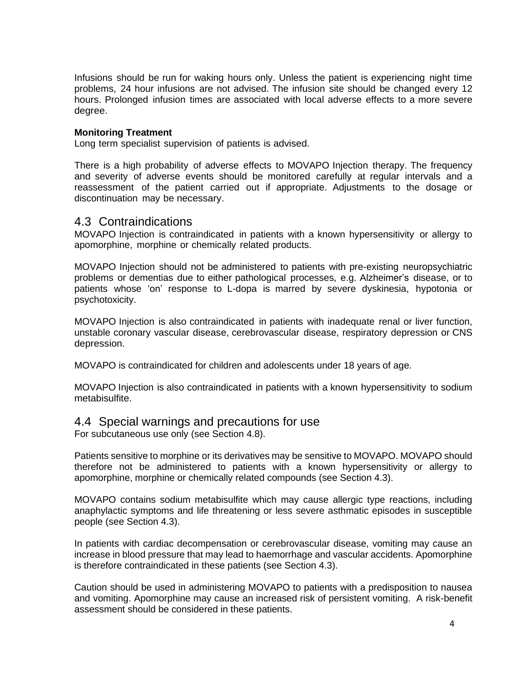Infusions should be run for waking hours only. Unless the patient is experiencing night time problems, 24 hour infusions are not advised. The infusion site should be changed every 12 hours. Prolonged infusion times are associated with local adverse effects to a more severe degree.

#### **Monitoring Treatment**

Long term specialist supervision of patients is advised.

There is a high probability of adverse effects to MOVAPO Injection therapy. The frequency and severity of adverse events should be monitored carefully at regular intervals and a reassessment of the patient carried out if appropriate. Adjustments to the dosage or discontinuation may be necessary.

### 4.3 Contraindications

MOVAPO Injection is contraindicated in patients with a known hypersensitivity or allergy to apomorphine, morphine or chemically related products.

MOVAPO Injection should not be administered to patients with pre-existing neuropsychiatric problems or dementias due to either pathological processes, e.g. Alzheimer's disease, or to patients whose 'on' response to L-dopa is marred by severe dyskinesia, hypotonia or psychotoxicity.

MOVAPO Injection is also contraindicated in patients with inadequate renal or liver function, unstable coronary vascular disease, cerebrovascular disease, respiratory depression or CNS depression.

MOVAPO is contraindicated for children and adolescents under 18 years of age.

MOVAPO Injection is also contraindicated in patients with a known hypersensitivity to sodium metabisulfite.

# 4.4 Special warnings and precautions for use

For subcutaneous use only (see Section 4.8).

Patients sensitive to morphine or its derivatives may be sensitive to MOVAPO. MOVAPO should therefore not be administered to patients with a known hypersensitivity or allergy to apomorphine, morphine or chemically related compounds (see Section 4.3).

MOVAPO contains sodium metabisulfite which may cause allergic type reactions, including anaphylactic symptoms and life threatening or less severe asthmatic episodes in susceptible people (see Section 4.3).

In patients with cardiac decompensation or cerebrovascular disease, vomiting may cause an increase in blood pressure that may lead to haemorrhage and vascular accidents. Apomorphine is therefore contraindicated in these patients (see Section 4.3).

Caution should be used in administering MOVAPO to patients with a predisposition to nausea and vomiting. Apomorphine may cause an increased risk of persistent vomiting. A risk-benefit assessment should be considered in these patients.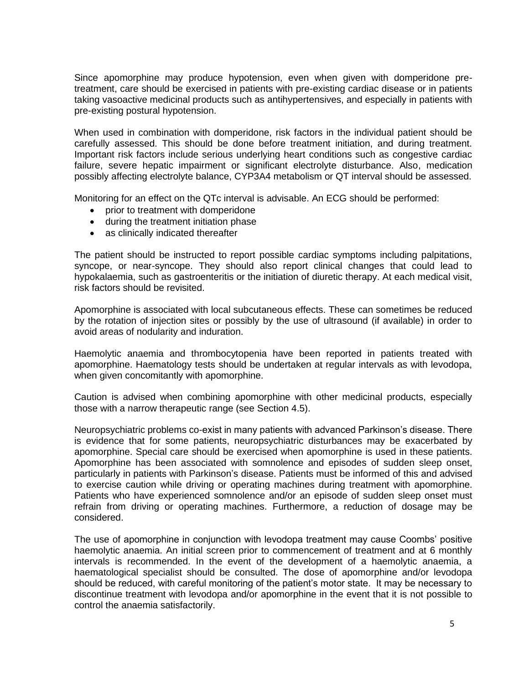Since apomorphine may produce hypotension, even when given with domperidone pretreatment, care should be exercised in patients with pre-existing cardiac disease or in patients taking vasoactive medicinal products such as antihypertensives, and especially in patients with pre-existing postural hypotension.

When used in combination with domperidone, risk factors in the individual patient should be carefully assessed. This should be done before treatment initiation, and during treatment. Important risk factors include serious underlying heart conditions such as congestive cardiac failure, severe hepatic impairment or significant electrolyte disturbance. Also, medication possibly affecting electrolyte balance, CYP3A4 metabolism or QT interval should be assessed.

Monitoring for an effect on the QTc interval is advisable. An ECG should be performed:

- prior to treatment with domperidone
- during the treatment initiation phase
- as clinically indicated thereafter

The patient should be instructed to report possible cardiac symptoms including palpitations, syncope, or near-syncope. They should also report clinical changes that could lead to hypokalaemia, such as gastroenteritis or the initiation of diuretic therapy. At each medical visit, risk factors should be revisited.

Apomorphine is associated with local subcutaneous effects. These can sometimes be reduced by the rotation of injection sites or possibly by the use of ultrasound (if available) in order to avoid areas of nodularity and induration.

Haemolytic anaemia and thrombocytopenia have been reported in patients treated with apomorphine. Haematology tests should be undertaken at regular intervals as with levodopa, when given concomitantly with apomorphine.

Caution is advised when combining apomorphine with other medicinal products, especially those with a narrow therapeutic range (see Section 4.5).

Neuropsychiatric problems co-exist in many patients with advanced Parkinson's disease. There is evidence that for some patients, neuropsychiatric disturbances may be exacerbated by apomorphine. Special care should be exercised when apomorphine is used in these patients. Apomorphine has been associated with somnolence and episodes of sudden sleep onset, particularly in patients with Parkinson's disease. Patients must be informed of this and advised to exercise caution while driving or operating machines during treatment with apomorphine. Patients who have experienced somnolence and/or an episode of sudden sleep onset must refrain from driving or operating machines. Furthermore, a reduction of dosage may be considered.

The use of apomorphine in conjunction with levodopa treatment may cause Coombs' positive haemolytic anaemia. An initial screen prior to commencement of treatment and at 6 monthly intervals is recommended. In the event of the development of a haemolytic anaemia, a haematological specialist should be consulted. The dose of apomorphine and/or levodopa should be reduced, with careful monitoring of the patient's motor state. It may be necessary to discontinue treatment with levodopa and/or apomorphine in the event that it is not possible to control the anaemia satisfactorily.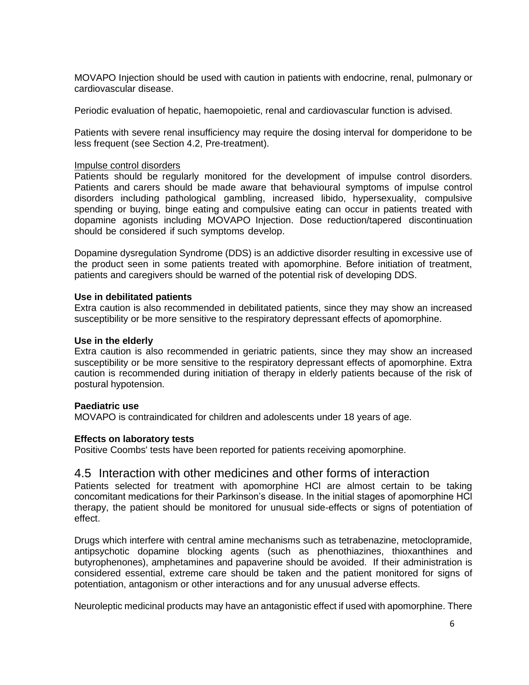MOVAPO Injection should be used with caution in patients with endocrine, renal, pulmonary or cardiovascular disease.

Periodic evaluation of hepatic, haemopoietic, renal and cardiovascular function is advised.

Patients with severe renal insufficiency may require the dosing interval for domperidone to be less frequent (see Section 4.2, Pre-treatment).

#### Impulse control disorders

Patients should be regularly monitored for the development of impulse control disorders. Patients and carers should be made aware that behavioural symptoms of impulse control disorders including pathological gambling, increased libido, hypersexuality, compulsive spending or buying, binge eating and compulsive eating can occur in patients treated with dopamine agonists including MOVAPO Injection. Dose reduction/tapered discontinuation should be considered if such symptoms develop.

Dopamine dysregulation Syndrome (DDS) is an addictive disorder resulting in excessive use of the product seen in some patients treated with apomorphine. Before initiation of treatment, patients and caregivers should be warned of the potential risk of developing DDS.

#### **Use in debilitated patients**

Extra caution is also recommended in debilitated patients, since they may show an increased susceptibility or be more sensitive to the respiratory depressant effects of apomorphine.

#### **Use in the elderly**

Extra caution is also recommended in geriatric patients, since they may show an increased susceptibility or be more sensitive to the respiratory depressant effects of apomorphine. Extra caution is recommended during initiation of therapy in elderly patients because of the risk of postural hypotension.

#### **Paediatric use**

MOVAPO is contraindicated for children and adolescents under 18 years of age.

#### **Effects on laboratory tests**

Positive Coombs' tests have been reported for patients receiving apomorphine.

### 4.5 Interaction with other medicines and other forms of interaction

Patients selected for treatment with apomorphine HCl are almost certain to be taking concomitant medications for their Parkinson's disease. In the initial stages of apomorphine HCl therapy, the patient should be monitored for unusual side-effects or signs of potentiation of effect.

Drugs which interfere with central amine mechanisms such as tetrabenazine, metoclopramide, antipsychotic dopamine blocking agents (such as phenothiazines, thioxanthines and butyrophenones), amphetamines and papaverine should be avoided. If their administration is considered essential, extreme care should be taken and the patient monitored for signs of potentiation, antagonism or other interactions and for any unusual adverse effects.

Neuroleptic medicinal products may have an antagonistic effect if used with apomorphine. There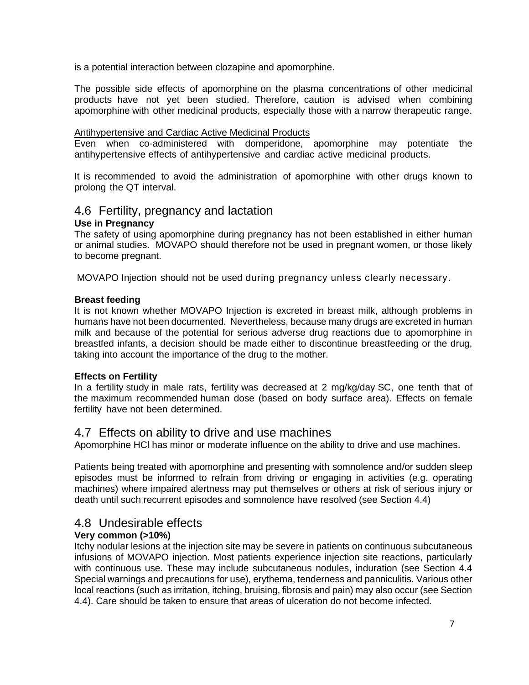is a potential interaction between clozapine and apomorphine.

The possible side effects of apomorphine on the plasma concentrations of other medicinal products have not yet been studied. Therefore, caution is advised when combining apomorphine with other medicinal products, especially those with a narrow therapeutic range.

#### Antihypertensive and Cardiac Active Medicinal Products

Even when co-administered with domperidone, apomorphine may potentiate the antihypertensive effects of antihypertensive and cardiac active medicinal products.

It is recommended to avoid the administration of apomorphine with other drugs known to prolong the QT interval.

# 4.6 Fertility, pregnancy and lactation

#### **Use in Pregnancy**

The safety of using apomorphine during pregnancy has not been established in either human or animal studies. MOVAPO should therefore not be used in pregnant women, or those likely to become pregnant.

MOVAPO Injection should not be used during pregnancy unless clearly necessary.

#### **Breast feeding**

It is not known whether MOVAPO Injection is excreted in breast milk, although problems in humans have not been documented. Nevertheless, because many drugs are excreted in human milk and because of the potential for serious adverse drug reactions due to apomorphine in breastfed infants, a decision should be made either to discontinue breastfeeding or the drug, taking into account the importance of the drug to the mother.

### **Effects on Fertility**

In a fertility study in male rats, fertility was decreased at 2 mg/kg/day SC, one tenth that of the maximum recommended human dose (based on body surface area). Effects on female fertility have not been determined.

# 4.7 Effects on ability to drive and use machines

Apomorphine HCl has minor or moderate influence on the ability to drive and use machines.

Patients being treated with apomorphine and presenting with somnolence and/or sudden sleep episodes must be informed to refrain from driving or engaging in activities (e.g. operating machines) where impaired alertness may put themselves or others at risk of serious injury or death until such recurrent episodes and somnolence have resolved (see Section 4.4)

# 4.8 Undesirable effects

### **Very common (>10%)**

Itchy nodular lesions at the injection site may be severe in patients on continuous subcutaneous infusions of MOVAPO injection. Most patients experience injection site reactions, particularly with continuous use. These may include subcutaneous nodules, induration (see Section 4.4 Special warnings and precautions for use), erythema, tenderness and panniculitis. Various other local reactions (such as irritation, itching, bruising, fibrosis and pain) may also occur (see Section 4.4). Care should be taken to ensure that areas of ulceration do not become infected.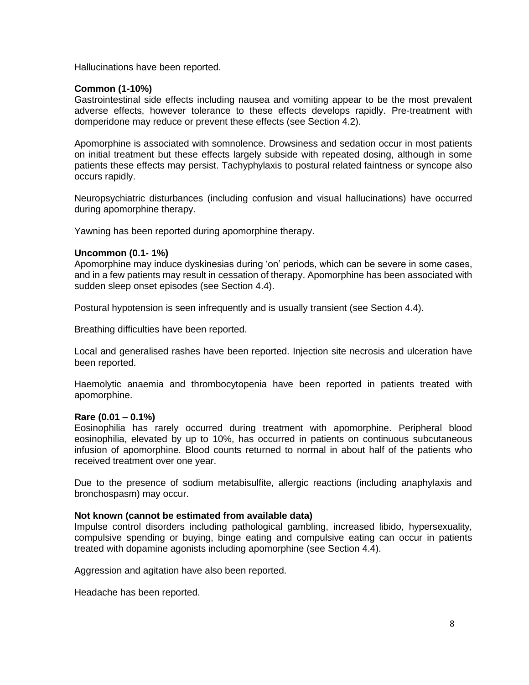Hallucinations have been reported.

#### **Common (1-10%)**

Gastrointestinal side effects including nausea and vomiting appear to be the most prevalent adverse effects, however tolerance to these effects develops rapidly. Pre-treatment with domperidone may reduce or prevent these effects (see Section 4.2).

Apomorphine is associated with somnolence. Drowsiness and sedation occur in most patients on initial treatment but these effects largely subside with repeated dosing, although in some patients these effects may persist. Tachyphylaxis to postural related faintness or syncope also occurs rapidly.

Neuropsychiatric disturbances (including confusion and visual hallucinations) have occurred during apomorphine therapy.

Yawning has been reported during apomorphine therapy.

#### **Uncommon (0.1- 1%)**

Apomorphine may induce dyskinesias during 'on' periods, which can be severe in some cases, and in a few patients may result in cessation of therapy. Apomorphine has been associated with sudden sleep onset episodes (see Section 4.4).

Postural hypotension is seen infrequently and is usually transient (see Section 4.4).

Breathing difficulties have been reported.

Local and generalised rashes have been reported. Injection site necrosis and ulceration have been reported.

Haemolytic anaemia and thrombocytopenia have been reported in patients treated with apomorphine.

#### **Rare (0.01 – 0.1%)**

Eosinophilia has rarely occurred during treatment with apomorphine. Peripheral blood eosinophilia, elevated by up to 10%, has occurred in patients on continuous subcutaneous infusion of apomorphine. Blood counts returned to normal in about half of the patients who received treatment over one year.

Due to the presence of sodium metabisulfite, allergic reactions (including anaphylaxis and bronchospasm) may occur.

#### **Not known (cannot be estimated from available data)**

Impulse control disorders including pathological gambling, increased libido, hypersexuality, compulsive spending or buying, binge eating and compulsive eating can occur in patients treated with dopamine agonists including apomorphine (see Section 4.4).

Aggression and agitation have also been reported.

Headache has been reported.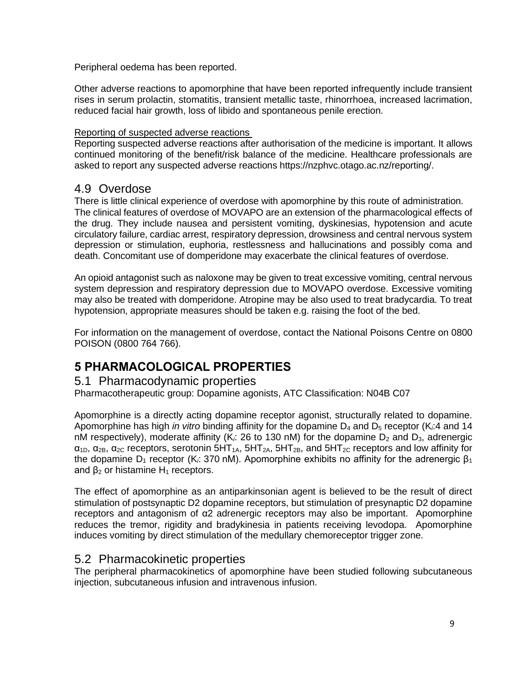Peripheral oedema has been reported.

Other adverse reactions to apomorphine that have been reported infrequently include transient rises in serum prolactin, stomatitis, transient metallic taste, rhinorrhoea, increased lacrimation, reduced facial hair growth, loss of libido and spontaneous penile erection.

#### Reporting of suspected adverse reactions

Reporting suspected adverse reactions after authorisation of the medicine is important. It allows continued monitoring of the benefit/risk balance of the medicine. Healthcare professionals are asked to report any suspected adverse reactions https://nzphvc.otago.ac.nz/reporting/.

# 4.9 Overdose

There is little clinical experience of overdose with apomorphine by this route of administration. The clinical features of overdose of MOVAPO are an extension of the pharmacological effects of the drug. They include nausea and persistent vomiting, dyskinesias, hypotension and acute circulatory failure, cardiac arrest, respiratory depression, drowsiness and central nervous system depression or stimulation, euphoria, restlessness and hallucinations and possibly coma and death. Concomitant use of domperidone may exacerbate the clinical features of overdose.

An opioid antagonist such as naloxone may be given to treat excessive vomiting, central nervous system depression and respiratory depression due to MOVAPO overdose. Excessive vomiting may also be treated with domperidone. Atropine may be also used to treat bradycardia. To treat hypotension, appropriate measures should be taken e.g. raising the foot of the bed.

For information on the management of overdose, contact the National Poisons Centre on 0800 POISON (0800 764 766).

# **5 PHARMACOLOGICAL PROPERTIES**

# 5.1 Pharmacodynamic properties

Pharmacotherapeutic group: Dopamine agonists, ATC Classification: N04B C07

Apomorphine is a directly acting dopamine receptor agonist, structurally related to dopamine. Apomorphine has high *in vitro* binding affinity for the dopamine  $D_4$  and  $D_5$  receptor (K<sub>i</sub>:4 and 14 nM respectively), moderate affinity (K<sub>i</sub>: 26 to 130 nM) for the dopamine  $D_2$  and  $D_3$ , adrenergic  $\alpha_{1D}$ ,  $\alpha_{2B}$ ,  $\alpha_{2C}$  receptors, serotonin 5HT<sub>1A</sub>, 5HT<sub>2A</sub>, 5HT<sub>2B</sub>, and 5HT<sub>2C</sub> receptors and low affinity for the dopamine  $D_1$  receptor (K<sub>i</sub>: 370 nM). Apomorphine exhibits no affinity for the adrenergic  $\beta_1$ and  $β<sub>2</sub>$  or histamine  $H<sub>1</sub>$  receptors.

The effect of apomorphine as an antiparkinsonian agent is believed to be the result of direct stimulation of postsynaptic D2 dopamine receptors, but stimulation of presynaptic D2 dopamine receptors and antagonism of α2 adrenergic receptors may also be important. Apomorphine reduces the tremor, rigidity and bradykinesia in patients receiving levodopa. Apomorphine induces vomiting by direct stimulation of the medullary chemoreceptor trigger zone.

# 5.2 Pharmacokinetic properties

The peripheral pharmacokinetics of apomorphine have been studied following subcutaneous injection, subcutaneous infusion and intravenous infusion.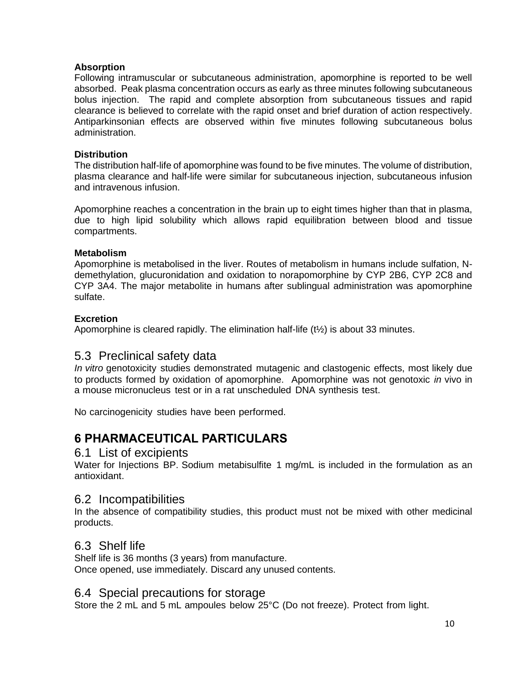### **Absorption**

Following intramuscular or subcutaneous administration, apomorphine is reported to be well absorbed. Peak plasma concentration occurs as early as three minutes following subcutaneous bolus injection. The rapid and complete absorption from subcutaneous tissues and rapid clearance is believed to correlate with the rapid onset and brief duration of action respectively. Antiparkinsonian effects are observed within five minutes following subcutaneous bolus administration.

### **Distribution**

The distribution half-life of apomorphine was found to be five minutes. The volume of distribution, plasma clearance and half-life were similar for subcutaneous injection, subcutaneous infusion and intravenous infusion.

Apomorphine reaches a concentration in the brain up to eight times higher than that in plasma, due to high lipid solubility which allows rapid equilibration between blood and tissue compartments.

### **Metabolism**

Apomorphine is metabolised in the liver. Routes of metabolism in humans include sulfation, Ndemethylation, glucuronidation and oxidation to norapomorphine by CYP 2B6, CYP 2C8 and CYP 3A4. The major metabolite in humans after sublingual administration was apomorphine sulfate.

### **Excretion**

Apomorphine is cleared rapidly. The elimination half-life  $(t\frac{1}{2})$  is about 33 minutes.

# 5.3 Preclinical safety data

*In vitro* genotoxicity studies demonstrated mutagenic and clastogenic effects, most likely due to products formed by oxidation of apomorphine. Apomorphine was not genotoxic *in* vivo in a mouse micronucleus test or in a rat unscheduled DNA synthesis test.

No carcinogenicity studies have been performed.

# **6 PHARMACEUTICAL PARTICULARS**

# 6.1 List of excipients

Water for Injections BP. Sodium metabisulfite 1 mg/mL is included in the formulation as an antioxidant.

# 6.2 Incompatibilities

In the absence of compatibility studies, this product must not be mixed with other medicinal products.

# 6.3 Shelf life

Shelf life is 36 months (3 years) from manufacture. Once opened, use immediately. Discard any unused contents.

# 6.4 Special precautions for storage

Store the 2 mL and 5 mL ampoules below 25°C (Do not freeze). Protect from light.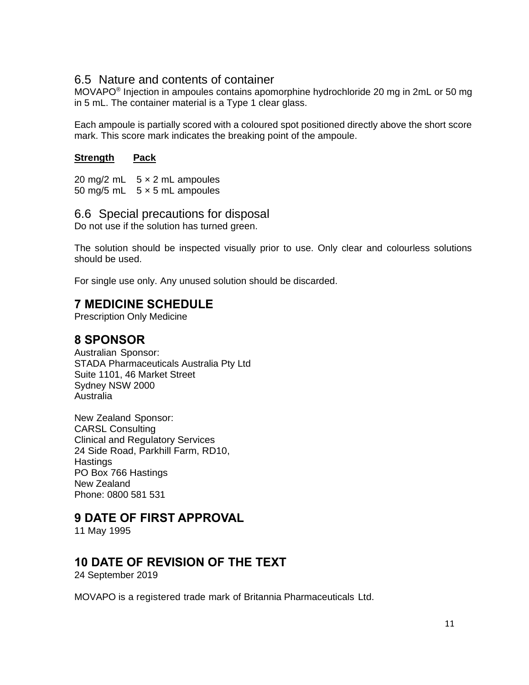# 6.5 Nature and contents of container

MOVAPO<sup>®</sup> Injection in ampoules contains apomorphine hydrochloride 20 mg in 2mL or 50 mg in 5 mL. The container material is a Type 1 clear glass.

Each ampoule is partially scored with a coloured spot positioned directly above the short score mark. This score mark indicates the breaking point of the ampoule.

### **Strength Pack**

20 mg/2 mL  $5 \times 2$  mL ampoules 50 mg/5 mL  $5 \times 5$  mL ampoules

# 6.6 Special precautions for disposal

Do not use if the solution has turned green.

The solution should be inspected visually prior to use. Only clear and colourless solutions should be used.

For single use only. Any unused solution should be discarded.

# **7 MEDICINE SCHEDULE**

Prescription Only Medicine

# **8 SPONSOR**

Australian Sponsor: STADA Pharmaceuticals Australia Pty Ltd Suite 1101, 46 Market Street Sydney NSW 2000 Australia

New Zealand Sponsor: CARSL Consulting Clinical and Regulatory Services 24 Side Road, Parkhill Farm, RD10, **Hastings** PO Box 766 Hastings New Zealand Phone: 0800 581 531

# **9 DATE OF FIRST APPROVAL**

11 May 1995

# **10 DATE OF REVISION OF THE TEXT**

24 September 2019

MOVAPO is a registered trade mark of Britannia Pharmaceuticals Ltd.